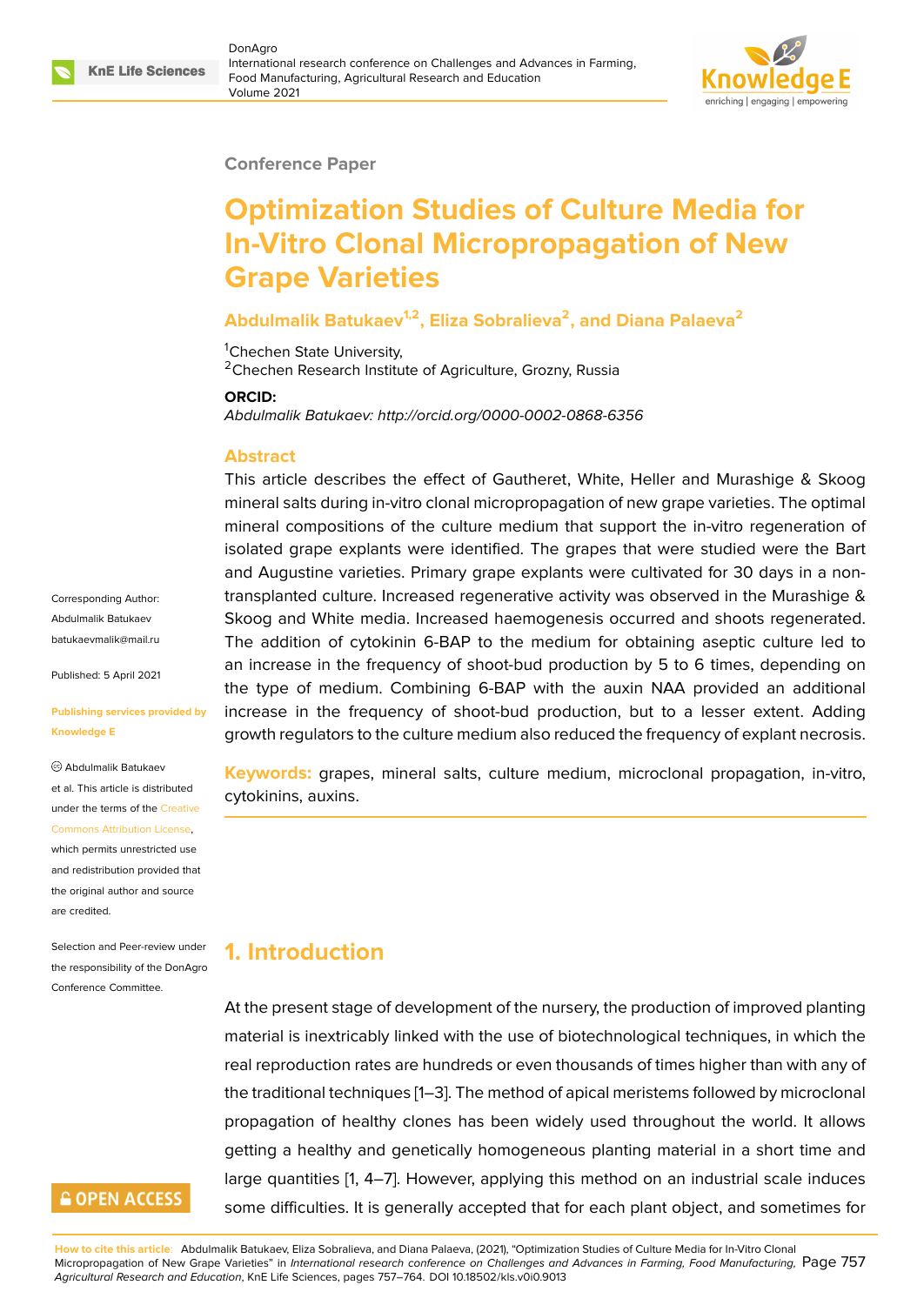#### **Conference Paper**

# **Optimization Studies of Culture Media for In-Vitro Clonal Micropropagation of New Grape Varieties**

### **Abdulmalik Batukaev1,2, Eliza Sobralieva<sup>2</sup> , and Diana Palaeva<sup>2</sup>**

<sup>1</sup>Chechen State University, <sup>2</sup>Chechen Research Institute of Agriculture, Grozny, Russia

#### **ORCID:**

*Abdulmalik Batukaev: http://orcid.org/0000-0002-0868-6356*

#### **Abstract**

This article describes the effect of Gautheret, White, Heller and Murashige & Skoog mineral salts during in-vitro clonal micropropagation of new grape varieties. The optimal mineral compositions of the culture medium that support the in-vitro regeneration of isolated grape explants were identified. The grapes that were studied were the Bart and Augustine varieties. Primary grape explants were cultivated for 30 days in a nontransplanted culture. Increased regenerative activity was observed in the Murashige & Skoog and White media. Increased haemogenesis occurred and shoots regenerated. The addition of cytokinin 6-BAP to the medium for obtaining aseptic culture led to an increase in the frequency of shoot-bud production by 5 to 6 times, depending on the type of medium. Combining 6-BAP with the auxin NAA provided an additional increase in the frequency of shoot-bud production, but to a lesser extent. Adding growth regulators to the culture medium also reduced the frequency of explant necrosis.

**Keywords:** grapes, mineral salts, culture medium, microclonal propagation, in-vitro, cytokinins, auxins.

# **1. Introduction**

At the present stage of development of the nursery, the production of improved planting material is inextricably linked with the use of biotechnological techniques, in which the real reproduction rates are hundreds or even thousands of times higher than with any of the traditional techniques [1–3]. The method of apical meristems followed by microclonal propagation of healthy clones has been widely used throughout the world. It allows getting a healthy and genetically homogeneous planting material in a short time and large quantities [1, 4–7]. H[o](#page-6-0)[we](#page-6-1)ver, applying this method on an industrial scale induces some difficulties. It is generally accepted that for each plant object, and sometimes for

**How to cite this article**: Abdulmalik Batukaev, Eliza Sobralieva, and Diana Palaeva, (2021), "Optimization Studies of Culture Media for In-Vitro Clonal Micropropagation of New Grape Varieties" in *Internation[al](#page-6-0)r[es](#page-6-2)e[arc](#page-6-3)h conference on Challenges and Advances in Farming, Food Manufacturing,* Page 757 *Agricultural Research and Education*, KnE Life Sciences, pages 757–764. DOI 10.18502/kls.v0i0.9013

Corresponding Author: Abdulmalik Batukaev batukaevmalik@mail.ru

Published: 5 April 2021

#### **[Publishing services pro](mailto:batukaevmalik@mail.ru)vided by Knowledge E**

Abdulmalik Batukaev et al. This article is distributed under the terms of the Creative Commons Attribution License, which permits unrestricted use and redistribution provided that

[are credited.](https://creativecommons.org/licenses/by/4.0/) Selection and Peer-review under the responsibility of the DonAgro

Conference Committee.

the original author and [source](https://creativecommons.org/licenses/by/4.0/)

### **GOPEN ACCESS**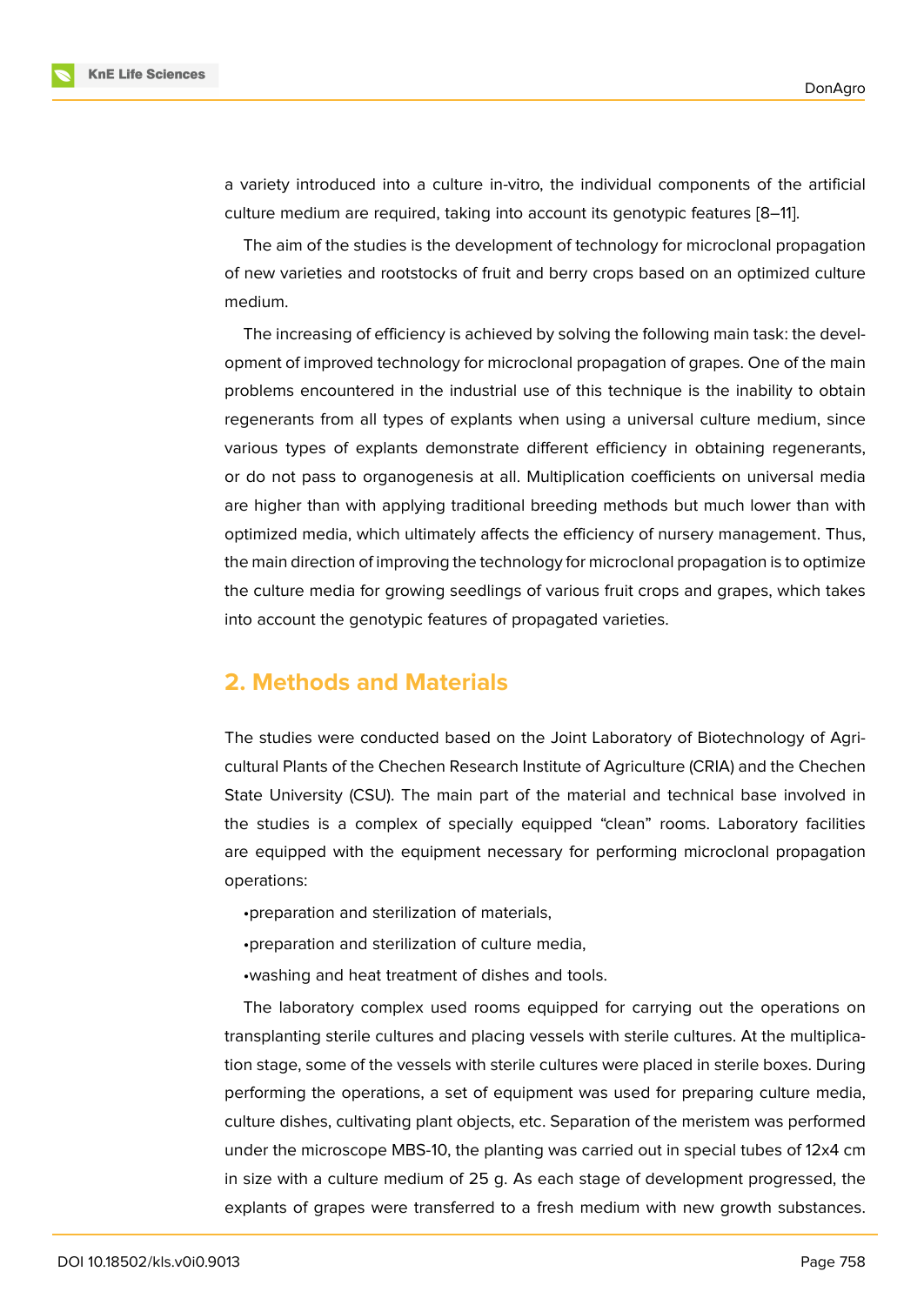a variety introduced into a culture in-vitro, the individual components of the artificial culture medium are required, taking into account its genotypic features [8–11].

The aim of the studies is the development of technology for microclonal propagation of new varieties and rootstocks of fruit and berry crops based on an optimized culture medium.

The increasing of efficiency is achieved by solving the following main task: the development of improved technology for microclonal propagation of grapes. One of the main problems encountered in the industrial use of this technique is the inability to obtain regenerants from all types of explants when using a universal culture medium, since various types of explants demonstrate different efficiency in obtaining regenerants, or do not pass to organogenesis at all. Multiplication coefficients on universal media are higher than with applying traditional breeding methods but much lower than with optimized media, which ultimately affects the efficiency of nursery management. Thus, the main direction of improving the technology for microclonal propagation is to optimize the culture media for growing seedlings of various fruit crops and grapes, which takes into account the genotypic features of propagated varieties.

## **2. Methods and Materials**

The studies were conducted based on the Joint Laboratory of Biotechnology of Agricultural Plants of the Chechen Research Institute of Agriculture (CRIA) and the Chechen State University (CSU). The main part of the material and technical base involved in the studies is a complex of specially equipped "clean" rooms. Laboratory facilities are equipped with the equipment necessary for performing microclonal propagation operations:

- •preparation and sterilization of materials,
- •preparation and sterilization of culture media,
- •washing and heat treatment of dishes and tools.

The laboratory complex used rooms equipped for carrying out the operations on transplanting sterile cultures and placing vessels with sterile cultures. At the multiplication stage, some of the vessels with sterile cultures were placed in sterile boxes. During performing the operations, a set of equipment was used for preparing culture media, culture dishes, cultivating plant objects, etc. Separation of the meristem was performed under the microscope MBS-10, the planting was carried out in special tubes of 12x4 cm in size with a culture medium of 25 g. As each stage of development progressed, the explants of grapes were transferred to a fresh medium with new growth substances.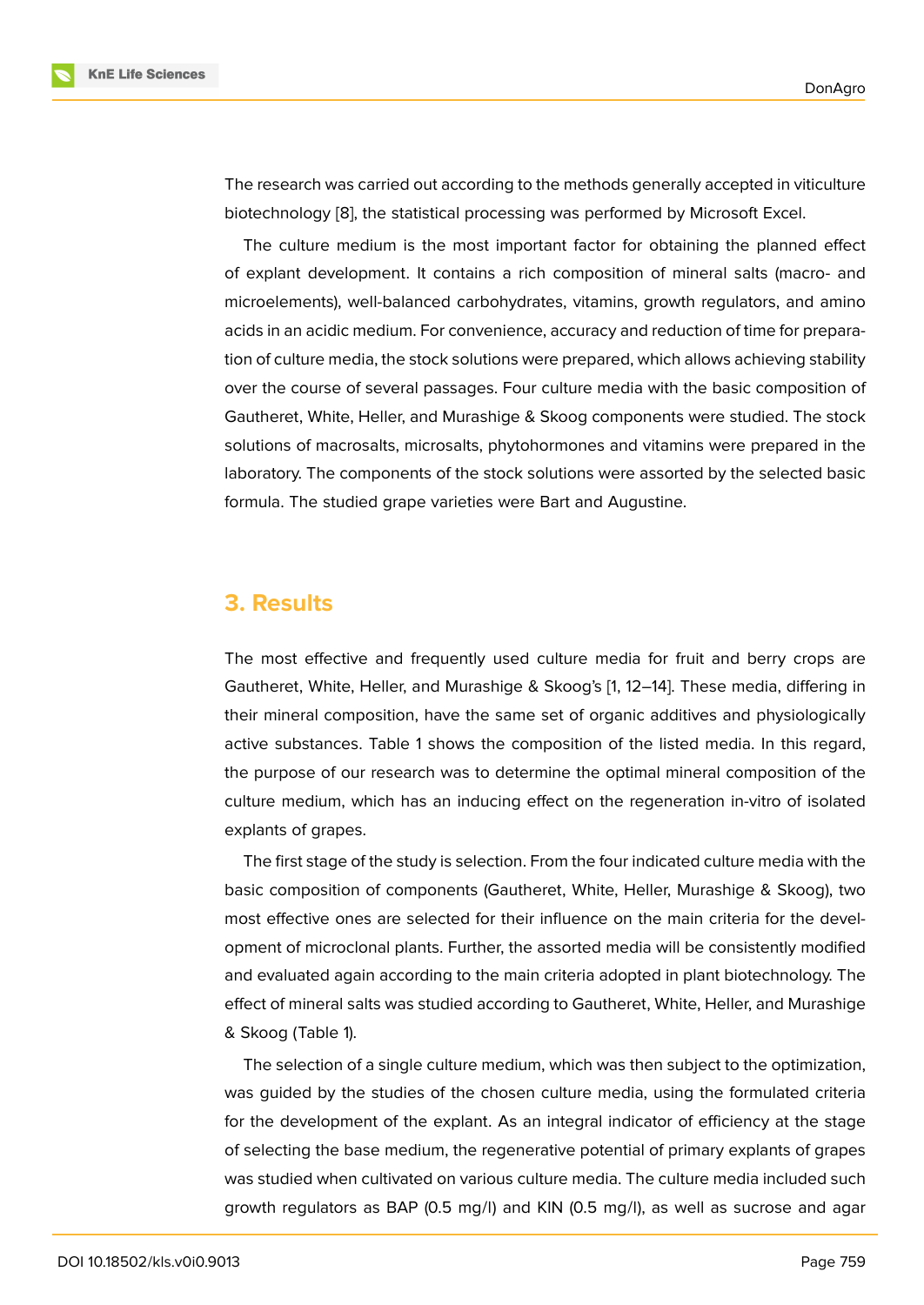The research was carried out according to the methods generally accepted in viticulture biotechnology [8], the statistical processing was performed by Microsoft Excel.

The culture medium is the most important factor for obtaining the planned effect of explant development. It contains a rich composition of mineral salts (macro- and microelements)[, w](#page-6-4)ell-balanced carbohydrates, vitamins, growth regulators, and amino acids in an acidic medium. For convenience, accuracy and reduction of time for preparation of culture media, the stock solutions were prepared, which allows achieving stability over the course of several passages. Four culture media with the basic composition of Gautheret, White, Heller, and Murashige & Skoog components were studied. The stock solutions of macrosalts, microsalts, phytohormones and vitamins were prepared in the laboratory. The components of the stock solutions were assorted by the selected basic formula. The studied grape varieties were Bart and Augustine.

### **3. Results**

The most effective and frequently used culture media for fruit and berry crops are Gautheret, White, Heller, and Murashige & Skoog's [1, 12–14]. These media, differing in their mineral composition, have the same set of organic additives and physiologically active substances. Table 1 shows the composition of the listed media. In this regard, the purpose of our research was to determine the [op](#page-6-0)[tim](#page-6-5)[al m](#page-7-0)ineral composition of the culture medium, which has an inducing effect on the regeneration in-vitro of isolated explants of grapes.

The first stage of the study is selection. From the four indicated culture media with the basic composition of components (Gautheret, White, Heller, Murashige & Skoog), two most effective ones are selected for their influence on the main criteria for the development of microclonal plants. Further, the assorted media will be consistently modified and evaluated again according to the main criteria adopted in plant biotechnology. The effect of mineral salts was studied according to Gautheret, White, Heller, and Murashige & Skoog (Table 1).

The selection of a single culture medium, which was then subject to the optimization, was guided by the studies of the chosen culture media, using the formulated criteria for the development of the explant. As an integral indicator of efficiency at the stage of selecting the base medium, the regenerative potential of primary explants of grapes was studied when cultivated on various culture media. The culture media included such growth regulators as BAP (0.5 mg/l) and KIN (0.5 mg/l), as well as sucrose and agar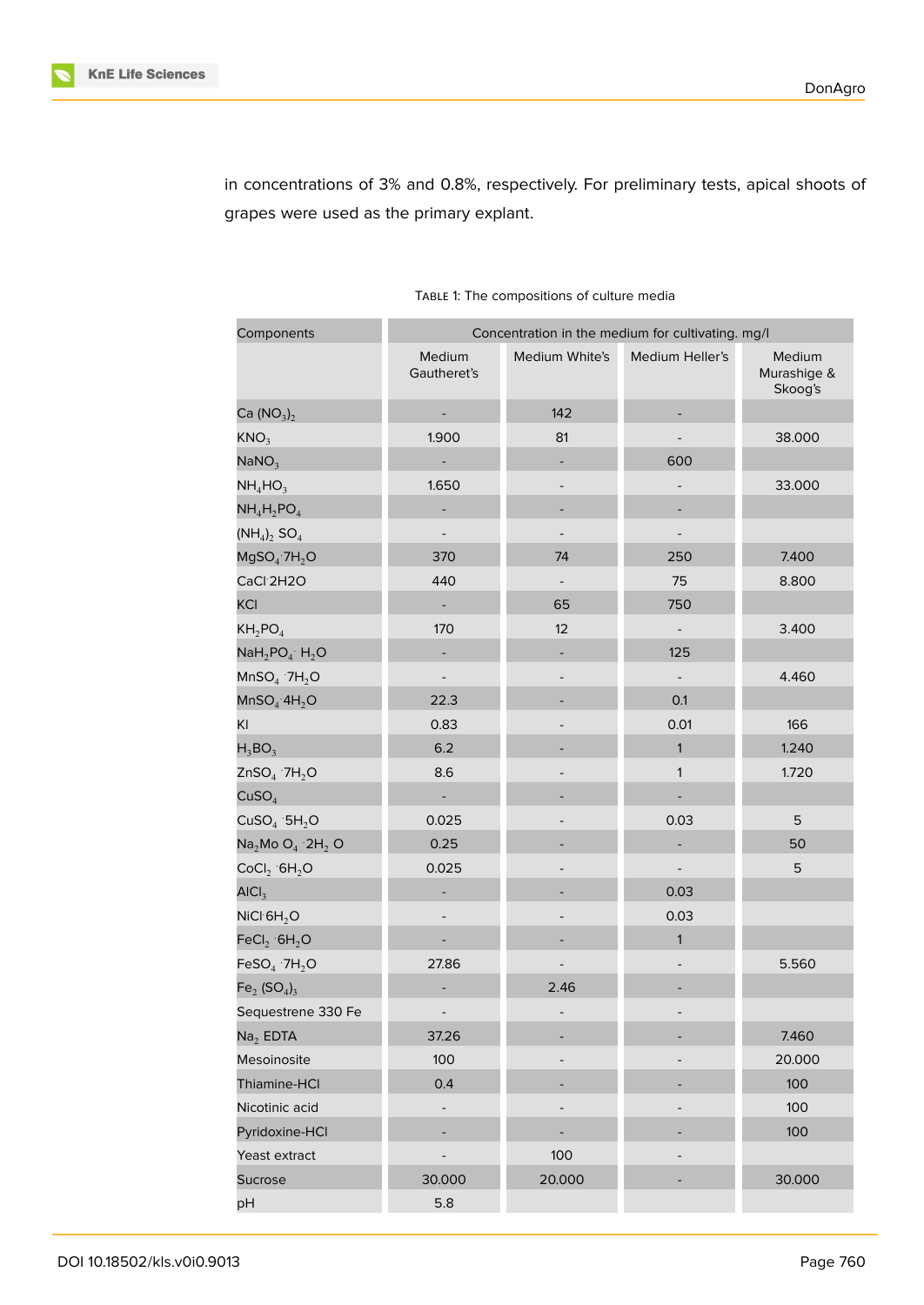in concentrations of 3% and 0.8%, respectively. For preliminary tests, apical shoots of grapes were used as the primary explant.

| Components                           | Concentration in the medium for cultivating. mg/l |                   |                          |                                  |  |
|--------------------------------------|---------------------------------------------------|-------------------|--------------------------|----------------------------------|--|
|                                      | Medium<br>Gautheret's                             | Medium White's    | Medium Heller's          | Medium<br>Murashige &<br>Skoog's |  |
| Ca $(NO_3)_2$                        | $\overline{\phantom{a}}$                          | 142               |                          |                                  |  |
| KNO <sub>3</sub>                     | 1.900                                             | 81                |                          | 38.000                           |  |
| NaNO <sub>3</sub>                    | ÷,                                                |                   | 600                      |                                  |  |
| $NH_4HO_3$                           | 1.650                                             |                   |                          | 33.000                           |  |
| $NH_4H_2PO_4$                        |                                                   |                   |                          |                                  |  |
| $(NH_4)_2$ SO <sub>4</sub>           |                                                   |                   |                          |                                  |  |
| $MgSO_4$ 7H <sub>2</sub> O           | 370                                               | 74                | 250                      | 7.400                            |  |
| CaCl <sup>2</sup> H2O                | 440                                               | $\qquad \qquad -$ | 75                       | 8.800                            |  |
| <b>KCI</b>                           | $\frac{1}{2}$                                     | 65                | 750                      |                                  |  |
| $KH_2PO_4$                           | 170                                               | 12                | $\overline{\phantom{a}}$ | 3.400                            |  |
| $N$ a $H_2$ PO <sub>4</sub> $H_2$ O  |                                                   |                   | 125                      |                                  |  |
| $MnSO4$ 7H <sub>2</sub> O            |                                                   |                   | $\overline{a}$           | 4.460                            |  |
| MnSO <sub>4</sub> ·4H <sub>2</sub> O | 22.3                                              |                   | 0.1                      |                                  |  |
| KI                                   | 0.83                                              |                   | 0.01                     | 166                              |  |
| $H_3BO_3$                            | 6.2                                               |                   | $\mathbf{1}$             | 1.240                            |  |
| $ZnSO4$ 7H <sub>2</sub> O            | 8.6                                               |                   | $\mathbf{1}$             | 1.720                            |  |
| CuSO <sub>4</sub>                    | $\blacksquare$                                    |                   |                          |                                  |  |
| CuSO <sub>4</sub> ·5H <sub>2</sub> O | 0.025                                             |                   | 0.03                     | 5                                |  |
| $Na2Mo O4 2H2 O$                     | 0.25                                              |                   |                          | 50                               |  |
| CoCl <sub>2</sub> GH <sub>2</sub> O  | 0.025                                             |                   |                          | 5                                |  |
| AICI <sub>3</sub>                    |                                                   |                   | 0.03                     |                                  |  |
| NICI·6H <sub>2</sub> O               |                                                   |                   | 0.03                     |                                  |  |
| FeCl <sub>2</sub> ·6H <sub>2</sub> O |                                                   |                   | $\mathbf{1}$             |                                  |  |
| FeSO <sub>4</sub> ·7H <sub>2</sub> O | 27.86                                             |                   |                          | 5.560                            |  |
| $Fe2 (SO4)3$                         |                                                   | 2.46              |                          |                                  |  |
| Sequestrene 330 Fe                   |                                                   |                   |                          |                                  |  |
| $Na2$ EDTA                           | 37.26                                             |                   |                          | 7.460                            |  |
| Mesoinosite                          | 100                                               |                   |                          | 20.000                           |  |
| Thiamine-HCI                         | 0.4                                               |                   |                          | 100                              |  |
| Nicotinic acid                       |                                                   |                   |                          | 100                              |  |
| Pyridoxine-HCl                       |                                                   |                   |                          | 100                              |  |
| Yeast extract                        |                                                   | 100               |                          |                                  |  |
| <b>Sucrose</b>                       | 30.000                                            | 20.000            |                          | 30.000                           |  |
| pH                                   | 5.8                                               |                   |                          |                                  |  |

#### TABLE 1: The compositions of culture media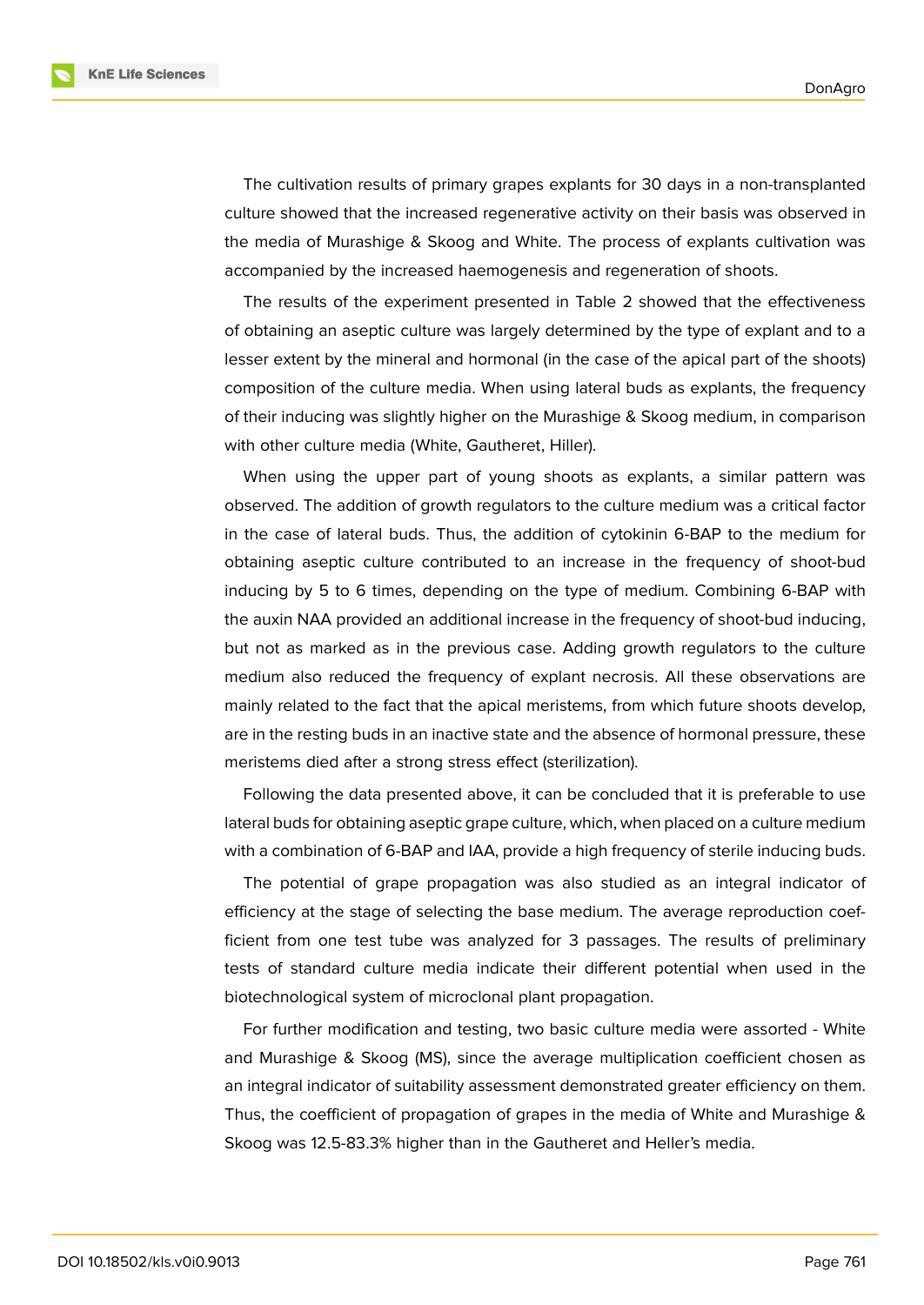**KnE Life Sciences** 

The cultivation results of primary grapes explants for 30 days in a non-transplanted culture showed that the increased regenerative activity on their basis was observed in the media of Murashige & Skoog and White. The process of explants cultivation was accompanied by the increased haemogenesis and regeneration of shoots.

The results of the experiment presented in Table 2 showed that the effectiveness of obtaining an aseptic culture was largely determined by the type of explant and to a lesser extent by the mineral and hormonal (in the case of the apical part of the shoots) composition of the culture media. When using lateral buds as explants, the frequency of their inducing was slightly higher on the Murashige & Skoog medium, in comparison with other culture media (White, Gautheret, Hiller).

When using the upper part of young shoots as explants, a similar pattern was observed. The addition of growth regulators to the culture medium was a critical factor in the case of lateral buds. Thus, the addition of cytokinin 6-BAP to the medium for obtaining aseptic culture contributed to an increase in the frequency of shoot-bud inducing by 5 to 6 times, depending on the type of medium. Combining 6-BAP with the auxin NAA provided an additional increase in the frequency of shoot-bud inducing, but not as marked as in the previous case. Adding growth regulators to the culture medium also reduced the frequency of explant necrosis. All these observations are mainly related to the fact that the apical meristems, from which future shoots develop, are in the resting buds in an inactive state and the absence of hormonal pressure, these meristems died after a strong stress effect (sterilization).

Following the data presented above, it can be concluded that it is preferable to use lateral buds for obtaining aseptic grape culture, which, when placed on a culture medium with a combination of 6-BAP and IAA, provide a high frequency of sterile inducing buds.

The potential of grape propagation was also studied as an integral indicator of efficiency at the stage of selecting the base medium. The average reproduction coefficient from one test tube was analyzed for 3 passages. The results of preliminary tests of standard culture media indicate their different potential when used in the biotechnological system of microclonal plant propagation.

For further modification and testing, two basic culture media were assorted - White and Murashige & Skoog (MS), since the average multiplication coefficient chosen as an integral indicator of suitability assessment demonstrated greater efficiency on them. Thus, the coefficient of propagation of grapes in the media of White and Murashige & Skoog was 12.5-83.3% higher than in the Gautheret and Heller's media.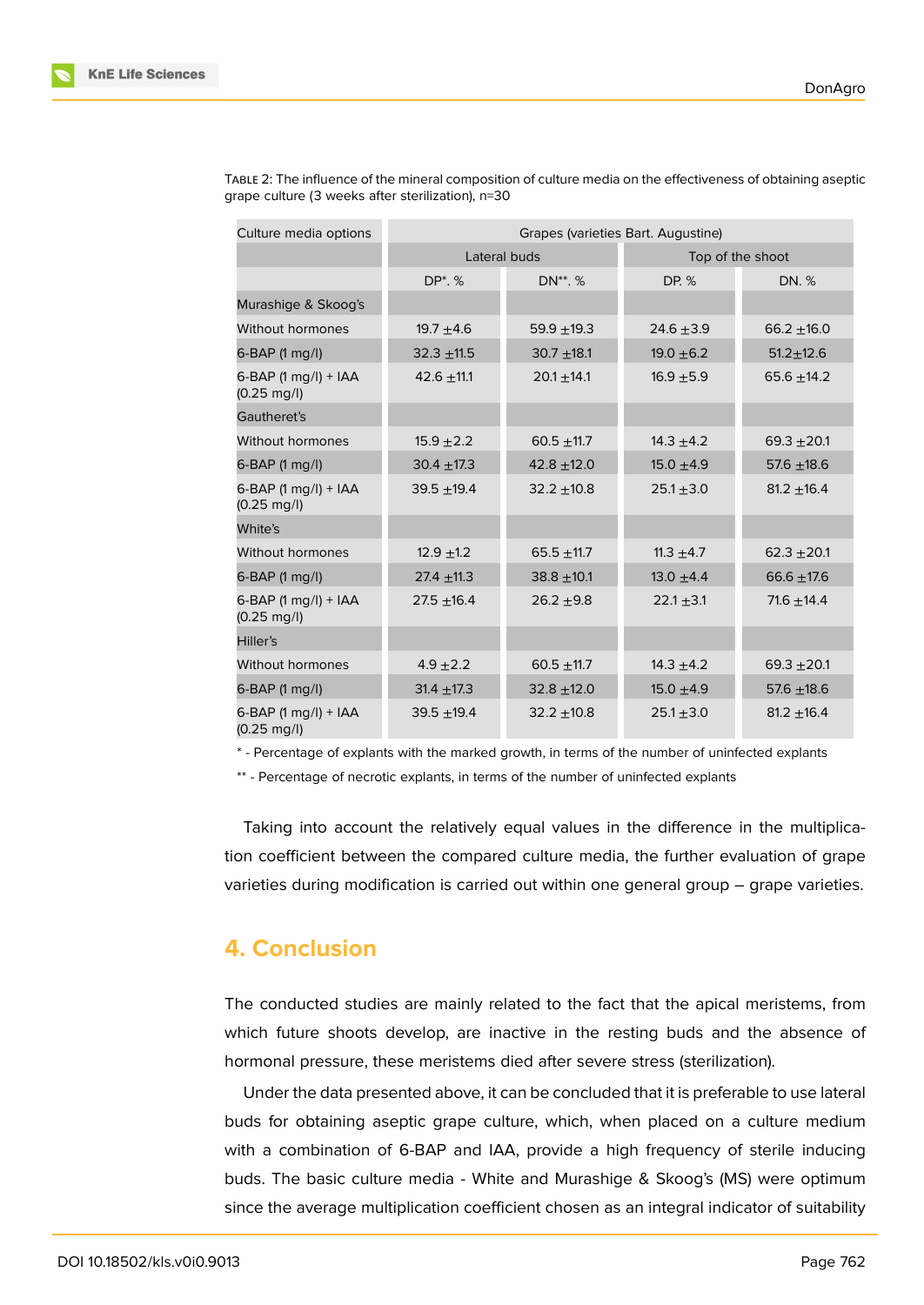| Culture media options                         | Grapes (varieties Bart. Augustine) |                 |                  |                 |  |
|-----------------------------------------------|------------------------------------|-----------------|------------------|-----------------|--|
|                                               | Lateral buds                       |                 | Top of the shoot |                 |  |
|                                               | DP <sup>*</sup> , %                | DN**. %         | DP. %            | DN. %           |  |
| Murashige & Skoog's                           |                                    |                 |                  |                 |  |
| Without hormones                              | 19.7 $\pm$ 4.6                     | $59.9 + 19.3$   | 24.6 $\pm$ 3.9   | $66.2 + 16.0$   |  |
| 6-BAP (1 mg/l)                                | $32.3 + 11.5$                      | $30.7 + 18.1$   | 19.0 $\pm$ 6.2   | $51.2 \pm 12.6$ |  |
| 6-BAP (1 mg/l) + IAA<br>$(0.25 \text{ mg/l})$ | $42.6 \pm 11.1$                    | $20.1 \pm 14.1$ | $16.9 + 5.9$     | 65.6 $\pm$ 14.2 |  |
| Gautheret's                                   |                                    |                 |                  |                 |  |
| Without hormones                              | $15.9 + 2.2$                       | $60.5 + 11.7$   | $14.3 \pm 4.2$   | $69.3 + 20.1$   |  |
| $6-BAP$ (1 mg/l)                              | $30.4 \pm 17.3$                    | $42.8 \pm 12.0$ | $15.0 \pm 4.9$   | $57.6 + 18.6$   |  |
| 6-BAP (1 mg/l) + IAA<br>$(0.25 \text{ mg/l})$ | $39.5 + 19.4$                      | $32.2 \pm 10.8$ | $25.1 \pm 3.0$   | $81.2 + 16.4$   |  |
| White's                                       |                                    |                 |                  |                 |  |
| Without hormones                              | $12.9 \pm 1.2$                     | $65.5 \pm 11.7$ | 11.3 $\pm$ 4.7   | $62.3 + 20.1$   |  |
| $6-BAP$ (1 mg/l)                              | $27.4 \pm 11.3$                    | $38.8 + 10.1$   | 13.0 $\pm$ 4.4   | 66.6 $±17.6$    |  |
| 6-BAP (1 mg/l) + IAA<br>$(0.25 \text{ mg/l})$ | $27.5 + 16.4$                      | $26.2 + 9.8$    | $22.1 \pm 3.1$   | 71.6 $\pm$ 14.4 |  |
| Hiller's                                      |                                    |                 |                  |                 |  |
| Without hormones                              | $4.9 \pm 2.2$                      | $60.5 + 11.7$   | 14.3 $\pm$ 4.2   | $69.3 + 20.1$   |  |
| 6-BAP (1 mg/l)                                | $31.4 \pm 17.3$                    | $32.8 + 12.0$   | $15.0 \pm 4.9$   | 57.6 $\pm$ 18.6 |  |
| 6-BAP (1 mg/l) + IAA<br>$(0.25 \text{ mg/l})$ | $39.5 + 19.4$                      | $32.2 \pm 10.8$ | $25.1 \pm 3.0$   | $81.2 \pm 16.4$ |  |

TABLE 2: The influence of the mineral composition of culture media on the effectiveness of obtaining aseptic grape culture (3 weeks after sterilization), n=30

\* - Percentage of explants with the marked growth, in terms of the number of uninfected explants

\*\* - Percentage of necrotic explants, in terms of the number of uninfected explants

Taking into account the relatively equal values in the difference in the multiplication coefficient between the compared culture media, the further evaluation of grape varieties during modification is carried out within one general group – grape varieties.

# **4. Conclusion**

The conducted studies are mainly related to the fact that the apical meristems, from which future shoots develop, are inactive in the resting buds and the absence of hormonal pressure, these meristems died after severe stress (sterilization).

Under the data presented above, it can be concluded that it is preferable to use lateral buds for obtaining aseptic grape culture, which, when placed on a culture medium with a combination of 6-BAP and IAA, provide a high frequency of sterile inducing buds. The basic culture media - White and Murashige & Skoog's (MS) were optimum since the average multiplication coefficient chosen as an integral indicator of suitability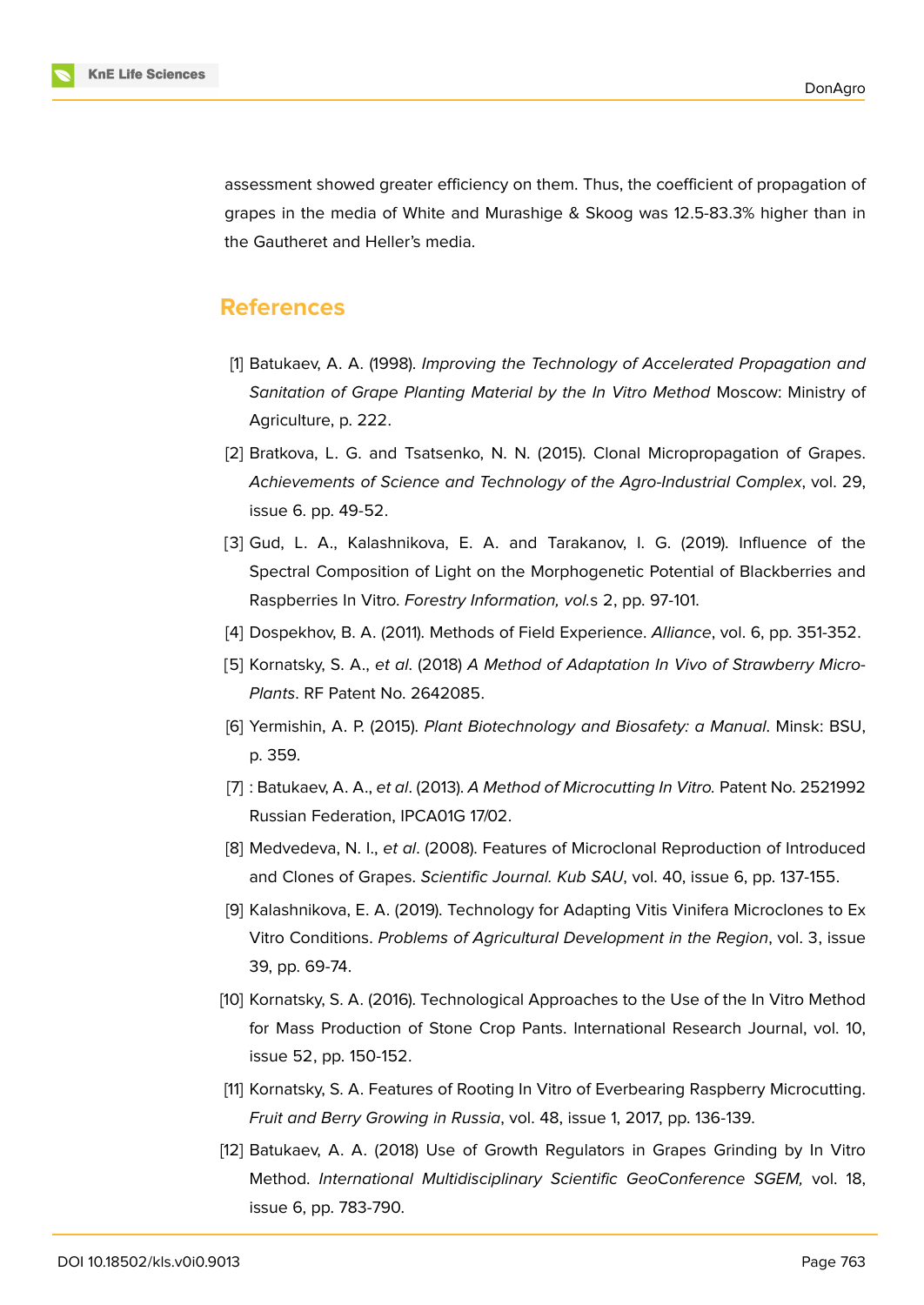

assessment showed greater efficiency on them. Thus, the coefficient of propagation of grapes in the media of White and Murashige & Skoog was 12.5-83.3% higher than in the Gautheret and Heller's media.

### **References**

- <span id="page-6-0"></span>[1] Batukaev, A. A. (1998). *Improving the Technology of Accelerated Propagation and Sanitation of Grape Planting Material by the In Vitro Method* Moscow: Ministry of Agriculture, p. 222.
- [2] Bratkova, L. G. and Tsatsenko, N. N. (2015). Clonal Micropropagation of Grapes. *Achievements of Science and Technology of the Agro-Industrial Complex*, vol. 29, issue 6. pp. 49-52.
- <span id="page-6-1"></span>[3] Gud, L. A., Kalashnikova, E. A. and Tarakanov, I. G. (2019). Influence of the Spectral Composition of Light on the Morphogenetic Potential of Blackberries and Raspberries In Vitro. *Forestry Information, vol.*s 2, pp. 97-101.
- <span id="page-6-2"></span>[4] Dospekhov, B. A. (2011). Methods of Field Experience. *Alliance*, vol. 6, pp. 351-352.
- [5] Kornatsky, S. A., *et al*. (2018) *A Method of Adaptation In Vivo of Strawberry Micro-Plants*. RF Patent No. 2642085.
- [6] Yermishin, A. P. (2015). *Plant Biotechnology and Biosafety: a Manual*. Minsk: BSU, p. 359.
- <span id="page-6-3"></span>[7] : Batukaev, A. A., *et al*. (2013). *A Method of Microcutting In Vitro.* Patent No. 2521992 Russian Federation, IPCA01G 17/02.
- <span id="page-6-4"></span>[8] Medvedeva, N. I., *et al*. (2008). Features of Microclonal Reproduction of Introduced and Clones of Grapes. *Scientific Journal. Kub SAU*, vol. 40, issue 6, pp. 137-155.
- [9] Kalashnikova, E. A. (2019). Technology for Adapting Vitis Vinifera Microclones to Ex Vitro Conditions. *Problems of Agricultural Development in the Region*, vol. 3, issue 39, pp. 69-74.
- [10] Kornatsky, S. A. (2016). Technological Approaches to the Use of the In Vitro Method for Mass Production of Stone Crop Pants. International Research Journal, vol. 10, issue 52, pp. 150-152.
- [11] Kornatsky, S. A. Features of Rooting In Vitro of Everbearing Raspberry Microcutting. *Fruit and Berry Growing in Russia*, vol. 48, issue 1, 2017, pp. 136-139.
- <span id="page-6-5"></span>[12] Batukaev, A. A. (2018) Use of Growth Regulators in Grapes Grinding by In Vitro Method. *International Multidisciplinary Scientific GeoConference SGEM,* vol. 18, issue 6, pp. 783-790.